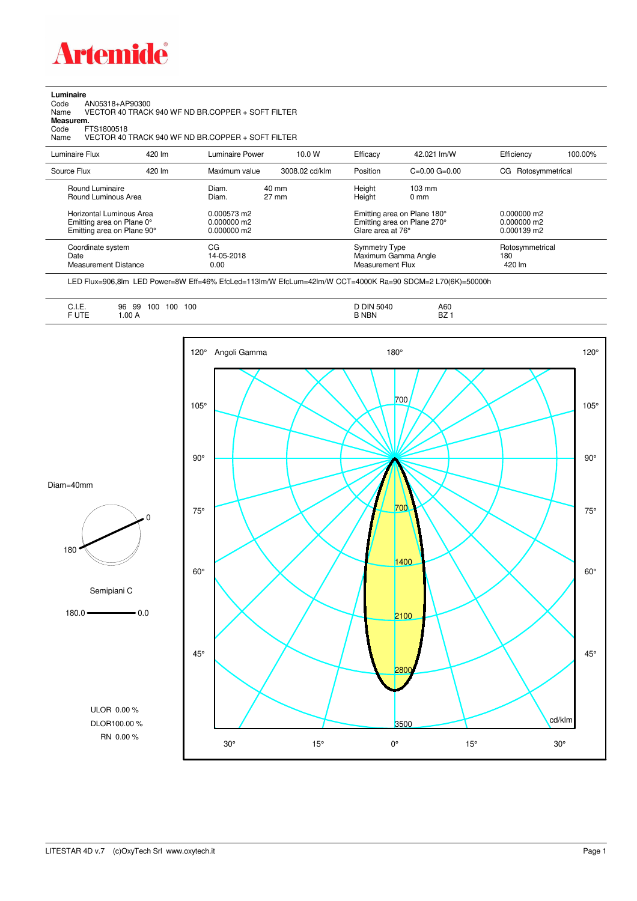

**Luminaire**<br>Code /<br>Name Code AN05318+AP90300 Name VECTOR 40 TRACK 940 WF ND BR.COPPER + SOFT FILTER

**Measurem.**

Code FTS1800518<br>Name VECTOR 40 Name VECTOR 40 TRACK 940 WF ND BR.COPPER + SOFT FILTER

| Luminaire Flux                                                                                                                | 420 lm | Luminaire Power                                                 | 10.0 W                   | Efficacy | 42.021 lm/W                                                                                                           | Efficiency                                      | 100.00% |
|-------------------------------------------------------------------------------------------------------------------------------|--------|-----------------------------------------------------------------|--------------------------|----------|-----------------------------------------------------------------------------------------------------------------------|-------------------------------------------------|---------|
| Source Flux                                                                                                                   | 420 lm | Maximum value                                                   | 3008.02 cd/klm           | Position | $C=0.00$ $G=0.00$                                                                                                     | Rotosymmetrical<br>CG                           |         |
| Round Luminaire<br>Round Luminous Area<br>Horizontal Luminous Area<br>Emitting area on Plane 0°<br>Emitting area on Plane 90° |        | Diam.<br>Diam.<br>0.000573 m2<br>$0.000000$ m2<br>$0.000000$ m2 | 40 mm<br>$27 \text{ mm}$ |          | $103 \text{ mm}$<br>$0 \text{ mm}$<br>Emitting area on Plane 180°<br>Emitting area on Plane 270°<br>Glare area at 76° | $0.000000$ m2<br>$0.000000$ m2<br>$0.000139$ m2 |         |
| Coordinate system<br>Date<br><b>Measurement Distance</b>                                                                      |        | CG<br>14-05-2018<br>0.00                                        |                          |          | <b>Symmetry Type</b><br>Maximum Gamma Angle<br>Measurement Flux                                                       | Rotosymmetrical<br>180<br>420 lm                |         |

LED Flux=906,8lm LED Power=8W Eff=46% EfcLed=113lm/W EfcLum=42lm/W CCT=4000K Ra=90 SDCM=2 L70(6K)=50000h

| <b>DIN</b><br>5040<br>A60<br>100<br>100<br>100<br>99<br>$\sim$<br><b>B NBN</b><br>DZ. |
|---------------------------------------------------------------------------------------|
|---------------------------------------------------------------------------------------|